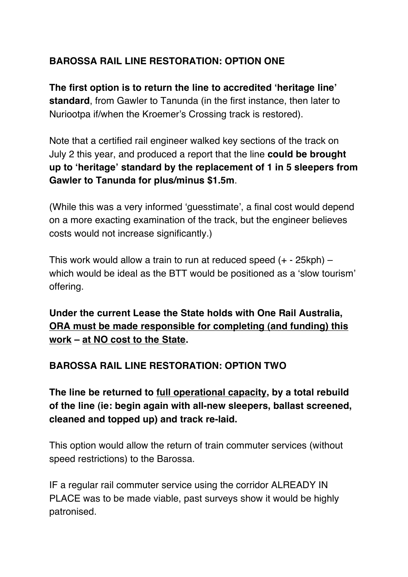# **BAROSSA RAIL LINE RESTORATION: OPTION ONE**

**The first option is to return the line to accredited ʻheritage line' standard**, from Gawler to Tanunda (in the first instance, then later to Nuriootpa if/when the Kroemer's Crossing track is restored).

Note that a certified rail engineer walked key sections of the track on July 2 this year, and produced a report that the line **could be brought up to ʻheritage' standard by the replacement of 1 in 5 sleepers from Gawler to Tanunda for plus/minus \$1.5m**.

(While this was a very informed ʻguesstimate', a final cost would depend on a more exacting examination of the track, but the engineer believes costs would not increase significantly.)

This work would allow a train to run at reduced speed  $(+ - 25kph)$  – which would be ideal as the BTT would be positioned as a ʻslow tourism' offering.

**Under the current Lease the State holds with One Rail Australia, ORA must be made responsible for completing (and funding) this work – at NO cost to the State.**

#### **BAROSSA RAIL LINE RESTORATION: OPTION TWO**

**The line be returned to full operational capacity, by a total rebuild of the line (ie: begin again with all-new sleepers, ballast screened, cleaned and topped up) and track re-laid.** 

This option would allow the return of train commuter services (without speed restrictions) to the Barossa.

IF a regular rail commuter service using the corridor ALREADY IN PLACE was to be made viable, past surveys show it would be highly patronised.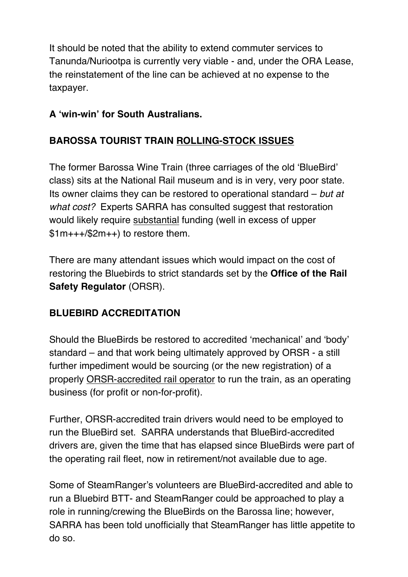It should be noted that the ability to extend commuter services to Tanunda/Nuriootpa is currently very viable - and, under the ORA Lease, the reinstatement of the line can be achieved at no expense to the taxpayer.

# **A ʻwin-win' for South Australians.**

# **BAROSSA TOURIST TRAIN ROLLING-STOCK ISSUES**

The former Barossa Wine Train (three carriages of the old ʻBlueBird' class) sits at the National Rail museum and is in very, very poor state. Its owner claims they can be restored to operational standard – *but at what cost?* Experts SARRA has consulted suggest that restoration would likely require substantial funding (well in excess of upper \$1m+++/\$2m++) to restore them.

There are many attendant issues which would impact on the cost of restoring the Bluebirds to strict standards set by the **Office of the Rail Safety Regulator** (ORSR).

#### **BLUEBIRD ACCREDITATION**

Should the BlueBirds be restored to accredited ʻmechanical' and ʻbody' standard – and that work being ultimately approved by ORSR - a still further impediment would be sourcing (or the new registration) of a properly ORSR-accredited rail operator to run the train, as an operating business (for profit or non-for-profit).

Further, ORSR-accredited train drivers would need to be employed to run the BlueBird set. SARRA understands that BlueBird-accredited drivers are, given the time that has elapsed since BlueBirds were part of the operating rail fleet, now in retirement/not available due to age.

Some of SteamRanger's volunteers are BlueBird-accredited and able to run a Bluebird BTT- and SteamRanger could be approached to play a role in running/crewing the BlueBirds on the Barossa line; however, SARRA has been told unofficially that SteamRanger has little appetite to do so.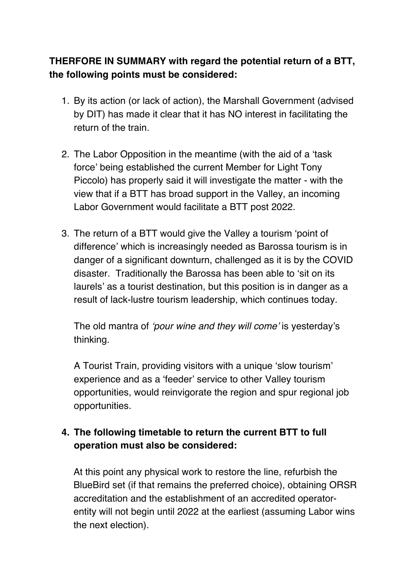#### **THERFORE IN SUMMARY with regard the potential return of a BTT, the following points must be considered:**

- 1. By its action (or lack of action), the Marshall Government (advised by DIT) has made it clear that it has NO interest in facilitating the return of the train.
- 2. The Labor Opposition in the meantime (with the aid of a ʻtask force' being established the current Member for Light Tony Piccolo) has properly said it will investigate the matter - with the view that if a BTT has broad support in the Valley, an incoming Labor Government would facilitate a BTT post 2022.
- 3. The return of a BTT would give the Valley a tourism ʻpoint of difference' which is increasingly needed as Barossa tourism is in danger of a significant downturn, challenged as it is by the COVID disaster. Traditionally the Barossa has been able to ʻsit on its laurels' as a tourist destination, but this position is in danger as a result of lack-lustre tourism leadership, which continues today.

The old mantra of ʻ*pour wine and they will come*' is yesterday's thinking.

A Tourist Train, providing visitors with a unique ʻslow tourism' experience and as a ʻfeeder' service to other Valley tourism opportunities, would reinvigorate the region and spur regional job opportunities.

#### **4. The following timetable to return the current BTT to full operation must also be considered:**

At this point any physical work to restore the line, refurbish the BlueBird set (if that remains the preferred choice), obtaining ORSR accreditation and the establishment of an accredited operatorentity will not begin until 2022 at the earliest (assuming Labor wins the next election).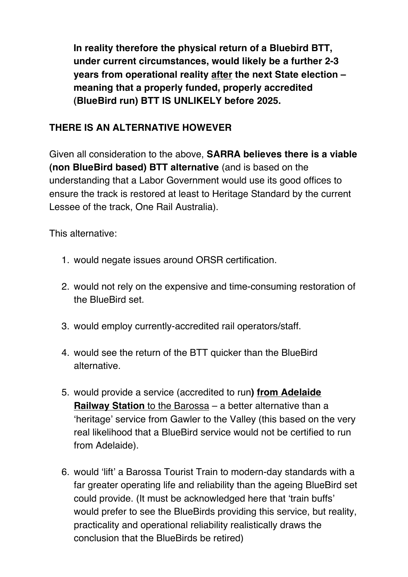**In reality therefore the physical return of a Bluebird BTT, under current circumstances, would likely be a further 2-3 years from operational reality after the next State election – meaning that a properly funded, properly accredited (BlueBird run) BTT IS UNLIKELY before 2025.**

#### **THERE IS AN ALTERNATIVE HOWEVER**

Given all consideration to the above, **SARRA believes there is a viable (non BlueBird based) BTT alternative** (and is based on the understanding that a Labor Government would use its good offices to ensure the track is restored at least to Heritage Standard by the current Lessee of the track, One Rail Australia).

This alternative:

- 1. would negate issues around ORSR certification.
- 2. would not rely on the expensive and time-consuming restoration of the BlueBird set.
- 3. would employ currently-accredited rail operators/staff.
- 4. would see the return of the BTT quicker than the BlueBird alternative.
- 5. would provide a service (accredited to run**) from Adelaide Railway Station** to the Barossa – a better alternative than a ʻheritage' service from Gawler to the Valley (this based on the very real likelihood that a BlueBird service would not be certified to run from Adelaide).
- 6. would ʻlift' a Barossa Tourist Train to modern-day standards with a far greater operating life and reliability than the ageing BlueBird set could provide. (It must be acknowledged here that ʻtrain buffs' would prefer to see the BlueBirds providing this service, but reality, practicality and operational reliability realistically draws the conclusion that the BlueBirds be retired)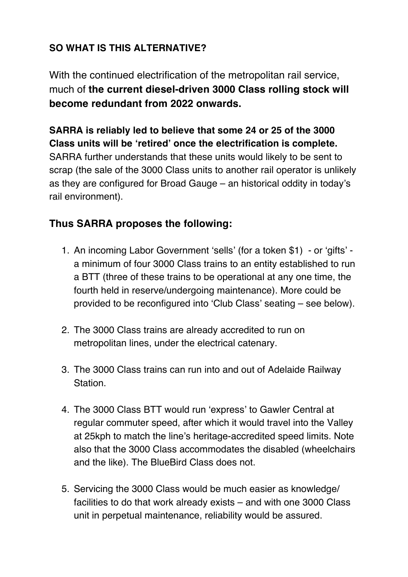# **SO WHAT IS THIS ALTERNATIVE?**

With the continued electrification of the metropolitan rail service, much of **the current diesel-driven 3000 Class rolling stock will become redundant from 2022 onwards.**

**SARRA is reliably led to believe that some 24 or 25 of the 3000 Class units will be ʻretired' once the electrification is complete.** SARRA further understands that these units would likely to be sent to scrap (the sale of the 3000 Class units to another rail operator is unlikely as they are configured for Broad Gauge – an historical oddity in today's rail environment).

# **Thus SARRA proposes the following:**

- 1. An incoming Labor Government ʻsells' (for a token \$1) or ʻgifts' a minimum of four 3000 Class trains to an entity established to run a BTT (three of these trains to be operational at any one time, the fourth held in reserve/undergoing maintenance). More could be provided to be reconfigured into ʻClub Class' seating – see below).
- 2. The 3000 Class trains are already accredited to run on metropolitan lines, under the electrical catenary.
- 3. The 3000 Class trains can run into and out of Adelaide Railway Station.
- 4. The 3000 Class BTT would run ʻexpress' to Gawler Central at regular commuter speed, after which it would travel into the Valley at 25kph to match the line's heritage-accredited speed limits. Note also that the 3000 Class accommodates the disabled (wheelchairs and the like). The BlueBird Class does not.
- 5. Servicing the 3000 Class would be much easier as knowledge/ facilities to do that work already exists – and with one 3000 Class unit in perpetual maintenance, reliability would be assured.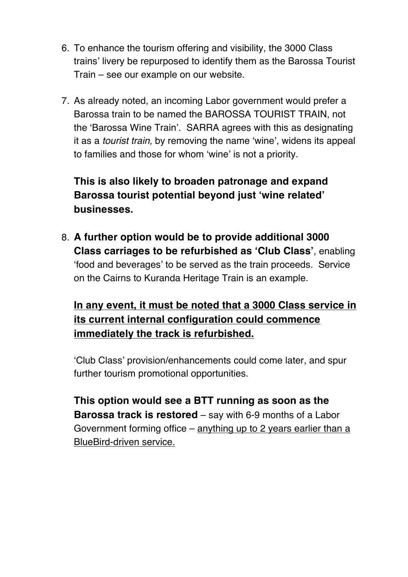- 6. To enhance the tourism offering and visibility, the 3000 Class trains' livery be repurposed to identify them as the Barossa Tourist Train – see our example on our website.
- 7. As already noted, an incoming Labor government would prefer a Barossa train to be named the BAROSSA TOURIST TRAIN, not the ʻBarossa Wine Train'. SARRA agrees with this as designating it as a *tourist train,* by removing the name ʻwine', widens its appeal to families and those for whom ʻwine' is not a priority.

**This is also likely to broaden patronage and expand Barossa tourist potential beyond just ʻwine related' businesses.**

8. **A further option would be to provide additional 3000 Class carriages to be refurbished as ʻClub Class'**, enabling ʻfood and beverages' to be served as the train proceeds. Service on the Cairns to Kuranda Heritage Train is an example.

# **In any event, it must be noted that a 3000 Class service in its current internal configuration could commence immediately the track is refurbished.**

ʻClub Class' provision/enhancements could come later, and spur further tourism promotional opportunities.

**This option would see a BTT running as soon as the Barossa track is restored** – say with 6-9 months of a Labor Government forming office – anything up to 2 years earlier than a BlueBird-driven service.